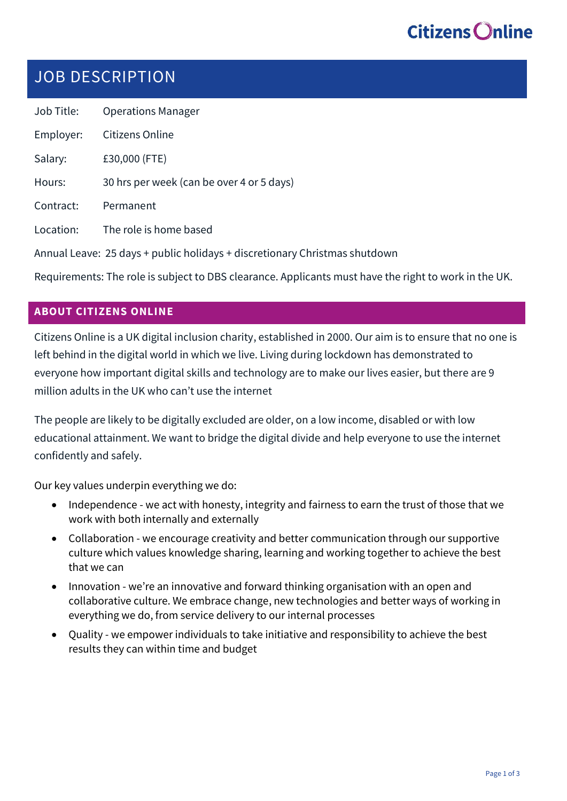## JOB DESCRIPTION

Job Title: Operations Manager Employer: Citizens Online Salary: £30,000 (FTE) Hours: 30 hrs per week (can be over 4 or 5 days) Contract: Permanent Location: The role is home based Annual Leave: 25 days + public holidays + discretionary Christmas shutdown

Requirements: The role is subject to DBS clearance. Applicants must have the right to work in the UK.

### **ABOUT CITIZENS ONLINE**

Citizens Online is a UK digital inclusion charity, established in 2000. Our aim is to ensure that no one is left behind in the digital world in which we live. Living during lockdown has demonstrated to everyone how important digital skills and technology are to make our lives easier, but there are 9 million adults in the UK who can't use the internet

The people are likely to be digitally excluded are older, on a low income, disabled or with low educational attainment. We want to bridge the digital divide and help everyone to use the internet confidently and safely.

Our key values underpin everything we do:

- Independence we act with honesty, integrity and fairness to earn the trust of those that we work with both internally and externally
- Collaboration we encourage creativity and better communication through our supportive culture which values knowledge sharing, learning and working together to achieve the best that we can
- Innovation we're an innovative and forward thinking organisation with an open and collaborative culture. We embrace change, new technologies and better ways of working in everything we do, from service delivery to our internal processes
- Quality we empower individuals to take initiative and responsibility to achieve the best results they can within time and budget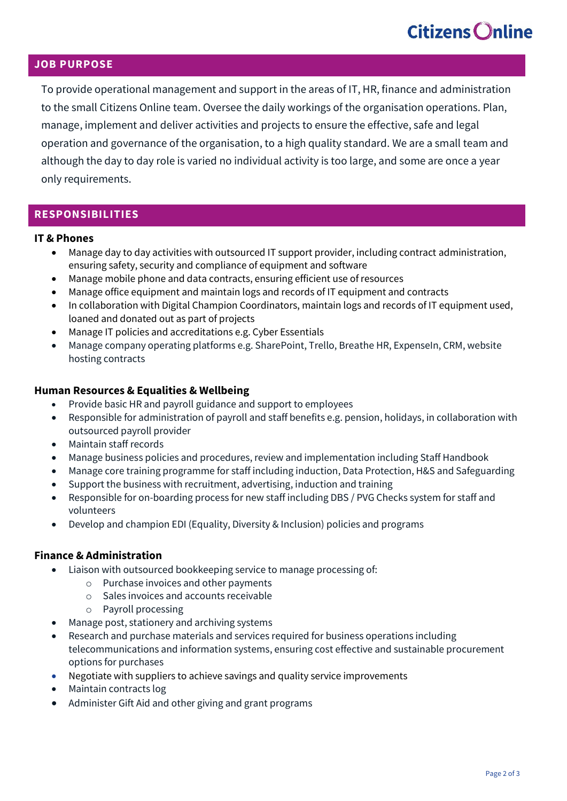### **JOB PURPOSE**

To provide operational management and support in the areas of IT, HR, finance and administration to the small Citizens Online team. Oversee the daily workings of the organisation operations. Plan, manage, implement and deliver activities and projects to ensure the effective, safe and legal operation and governance of the organisation, to a high quality standard. We are a small team and although the day to day role is varied no individual activity is too large, and some are once a year only requirements.

### **RESPONSIBILITIES**

### **IT & Phones**

- Manage day to day activities with outsourced IT support provider, including contract administration, ensuring safety, security and compliance of equipment and software
- Manage mobile phone and data contracts, ensuring efficient use of resources
- Manage office equipment and maintain logs and records of IT equipment and contracts
- In collaboration with Digital Champion Coordinators, maintain logs and records of IT equipment used, loaned and donated out as part of projects
- Manage IT policies and accreditations e.g. Cyber Essentials
- Manage company operating platforms e.g. SharePoint, Trello, Breathe HR, ExpenseIn, CRM, website hosting contracts

### **Human Resources & Equalities & Wellbeing**

- Provide basic HR and payroll guidance and support to employees
- Responsible for administration of payroll and staff benefits e.g. pension, holidays, in collaboration with outsourced payroll provider
- Maintain staff records
- Manage business policies and procedures, review and implementation including Staff Handbook
- Manage core training programme for staff including induction, Data Protection, H&S and Safeguarding
- Support the business with recruitment, advertising, induction and training
- Responsible for on-boarding process for new staff including DBS / PVG Checks system for staff and volunteers
- Develop and champion EDI (Equality, Diversity & Inclusion) policies and programs

### **Finance & Administration**

- Liaison with outsourced bookkeeping service to manage processing of:
	- o Purchase invoices and other payments
	- o Sales invoices and accounts receivable
	- o Payroll processing
- Manage post, stationery and archiving systems
- Research and purchase materials and services required for business operations including telecommunications and information systems, ensuring cost effective and sustainable procurement options for purchases
- Negotiate with suppliers to achieve savings and quality service improvements
- Maintain contracts log
- Administer Gift Aid and other giving and grant programs